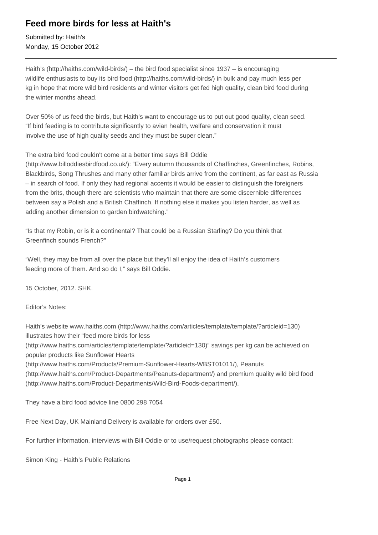## **Feed more birds for less at Haith's**

Submitted by: Haith's Monday, 15 October 2012

Haith's (http://haiths.com/wild-birds/) – the bird food specialist since 1937 – is encouraging wildlife enthusiasts to buy its bird food (http://haiths.com/wild-birds/) in bulk and pay much less per kg in hope that more wild bird residents and winter visitors get fed high quality, clean bird food during the winter months ahead.

Over 50% of us feed the birds, but Haith's want to encourage us to put out good quality, clean seed. "If bird feeding is to contribute significantly to avian health, welfare and conservation it must involve the use of high quality seeds and they must be super clean."

The extra bird food couldn't come at a better time says Bill Oddie

(http://www.billoddiesbirdfood.co.uk/): "Every autumn thousands of Chaffinches, Greenfinches, Robins, Blackbirds, Song Thrushes and many other familiar birds arrive from the continent, as far east as Russia – in search of food. If only they had regional accents it would be easier to distinguish the foreigners from the brits, though there are scientists who maintain that there are some discernible differences between say a Polish and a British Chaffinch. If nothing else it makes you listen harder, as well as adding another dimension to garden birdwatching."

"Is that my Robin, or is it a continental? That could be a Russian Starling? Do you think that Greenfinch sounds French?"

"Well, they may be from all over the place but they'll all enjoy the idea of Haith's customers feeding more of them. And so do I," says Bill Oddie.

15 October, 2012. SHK.

Editor's Notes:

Haith's website www.haiths.com (http://www.haiths.com/articles/template/template/?articleid=130) illustrates how their "feed more birds for less

(http://www.haiths.com/articles/template/template/?articleid=130)" savings per kg can be achieved on popular products like Sunflower Hearts

(http://www.haiths.com/Products/Premium-Sunflower-Hearts-WBST01011/), Peanuts

(http://www.haiths.com/Product-Departments/Peanuts-department/) and premium quality wild bird food (http://www.haiths.com/Product-Departments/Wild-Bird-Foods-department/).

They have a bird food advice line 0800 298 7054

Free Next Day, UK Mainland Delivery is available for orders over £50.

For further information, interviews with Bill Oddie or to use/request photographs please contact:

Simon King - Haith's Public Relations